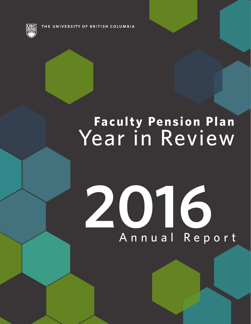THE UNIVERSITY OF BRITISH COLUMBIA

# **Faculty Pension Plan** Year in Review

# **2016** Annual Report

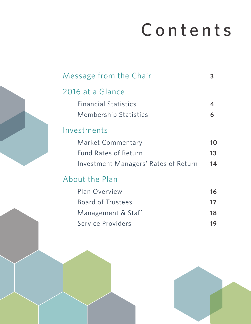# Contents

| Message from the Chair               |    |
|--------------------------------------|----|
| 2016 at a Glance                     |    |
| <b>Financial Statistics</b>          | Д  |
| <b>Membership Statistics</b>         | 6  |
| Investments                          |    |
| <b>Market Commentary</b>             | 10 |
| <b>Fund Rates of Return</b>          | 13 |
| Investment Managers' Rates of Return | 14 |
| About the Plan                       |    |
| <b>Plan Overview</b>                 | 16 |
| <b>Board of Trustees</b>             | 17 |
| Management & Staff                   | 18 |
| Service Providers                    | 19 |
|                                      |    |

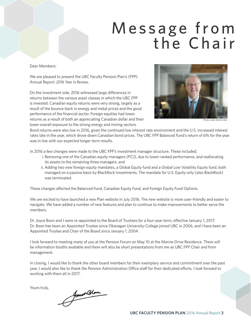### Message from the Chair

Dear Members:

We are pleased to present the UBC Faculty Pension Plan's (FPP) Annual Report: *2016 Year in Review*.

On the investment side, 2016 witnessed large differences in returns between the various asset classes in which the UBC FPP is invested. Canadian equity returns were very strong, largely as a result of the bounce-back in energy and metal prices and the good performance of the financial sector. Foreign equities had lower returns as a result of both an appreciating Canadian dollar and their lower overall exposure to the strong energy and mining sectors.



*Photo credit: Martin Dee*

Bond returns were also low in 2016, given the continued low interest rate environment and the U.S. increased interest rates late in the year, which drove down Canadian bond prices. The UBC FPP Balanced Fund's return of 6% for the year was in line with our expected longer term results.

In 2016 a few changes were made to the UBC FPP's investment manager structure. These included;

- i. Removing one of the Canadian equity managers (PCJ), due to lower-ranked performance, and reallocating its assets to the remaining three managers, and
- ii. Adding two new foreign equity mandates, a Global Equity fund and a Global Low Volatility Equity fund, both managed on a passive basis by BlackRock Investments. The mandate for U.S. Equity only (also BlackRock) was terminated.

These changes affected the Balanced Fund, Canadian Equity Fund, and Foreign Equity Fund Options.

We are excited to have launched a new Plan website in July 2016. The new website is more user-friendly and easier to navigate. We have added a number of new features and plan to continue to make improvements to better serve the members.

Dr. Joyce Boon and I were re-appointed to the Board of Trustees for a four-year term, effective January 1, 2017. Dr. Boon has been an Appointed Trustee since Okanagan University-College joined UBC in 2006, and I have been an Appointed Trustee and Chair of the Board since January 1, 2004.

I look forward to meeting many of you at the Pension Forum on May 10 at the Marine Drive Residence. There will be information booths available and there will also be short presentations from me as UBC FPP Chair and from management.

In closing, I would like to thank the other board members for their exemplary service and commitment over the past year. I would also like to thank the Pension Administration Office staff for their dedicated efforts. I look forward to working with them all in 2017.

Yours truly,

food Blom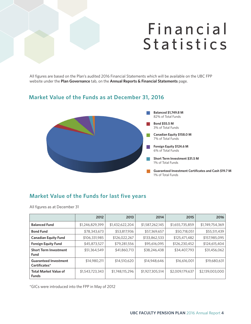### **Financial Statistics**

All figures are based on the Plan's audited 2016 Financial Statements which will be available on the UBC FPP website under the **Plan Governance** tab, on the **Annual Reports & Financial Statements** page.

#### **Market Value of the Funds as at December 31, 2016**



#### **Market Value of the Funds for last five years**

All figures as at December 31

|                                               | 2012            | 2013            | 2014            | 2015            | 2016            |
|-----------------------------------------------|-----------------|-----------------|-----------------|-----------------|-----------------|
| <b>Balanced Fund</b>                          | \$1,246,829,399 | \$1,432,622,204 | \$1,587,262,145 | \$1,655,735,859 | \$1,749,754,369 |
| <b>Bond Fund</b>                              | \$78,343,673    | \$53,817,936    | \$57,369,657    | \$50,718,051    | \$55,511,439    |
| <b>Canadian Equity Fund</b>                   | \$106,331,985   | \$126,022,267   | \$133,862,533   | \$125,471,482   | \$157,985,095   |
| <b>Foreign Equity Fund</b>                    | \$45,873,527    | \$79,281,556    | \$95,616,095    | \$126,230,452   | \$124,615,404   |
| <b>Short Term Investment</b><br>Fund          | \$51,364,549    | \$41,860,713    | \$38,246,438    | \$34,407,793    | \$31,456,062    |
| <b>Guaranteed Investment</b><br>Certificates* | \$14,980,211    | \$14,510,620    | \$14,948,646    | \$16,616,001    | \$19,680,631    |
| <b>Total Market Value of</b><br><b>Funds</b>  | \$1,543,723,343 | \$1,748,115,296 | \$1,927,305,514 | \$2,009,179,637 | \$2,139,003,000 |

\*GICs were introduced into the FPP in May of 2012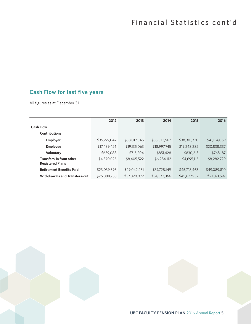### **Cash Flow for last five years**

All figures as at December 31

|                                                    | 2012         | 2013         | 2014         | 2015         | 2016         |
|----------------------------------------------------|--------------|--------------|--------------|--------------|--------------|
| <b>Cash Flow</b>                                   |              |              |              |              |              |
| <b>Contributions</b>                               |              |              |              |              |              |
| <b>Employer</b>                                    | \$35,227,042 | \$38,017,045 | \$38,373,562 | \$38,901,720 | \$41,154,069 |
| <b>Employee</b>                                    | \$17,489,426 | \$19,135,063 | \$18,997,745 | \$19,248,282 | \$20,838,337 |
| Voluntary                                          | \$639,088    | \$715,204    | \$851,428    | \$830,213    | \$768,187    |
| Transfers-in from other<br><b>Registered Plans</b> | \$4,370,025  | \$8,405,522  | \$6,284,112  | \$4,695,115  | \$8,282,729  |
| <b>Retirement Benefits Paid</b>                    | \$23,039,693 | \$29,042,231 | \$37,728,149 | \$45,718,463 | \$49,089,810 |
| <b>Withdrawals and Transfers-out</b>               | \$26,088,753 | \$37,020,072 | \$34,572,366 | \$45,627,952 | \$27,371,597 |

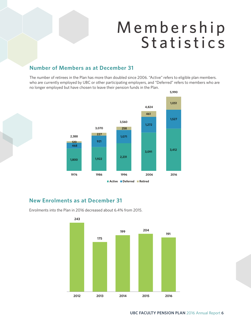### M e m b e r s h i p Statistics

#### **Number of Members as at December 31**

The number of retirees in the Plan has more than doubled since 2006. "Active" refers to eligible plan members. who are currently employed by UBC or other participating employers, and "Deferred" refers to members who are no longer employed but have chosen to leave their pension funds in the Plan.



#### **New Enrolments as at December 31**

Enrolments into the Plan in 2016 decreased about 6.4% from 2015.

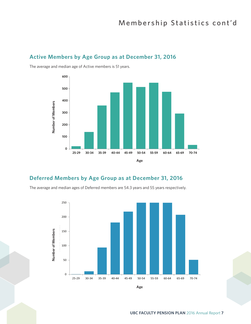#### **Active Members by Age Group as at December 31, 2016**



The average and median age of Active members is 51 years.

#### **Deferred Members by Age Group as at December 31, 2016**

The average and median ages of Deferred members are 54.3 years and 55 years respectively.



**Age**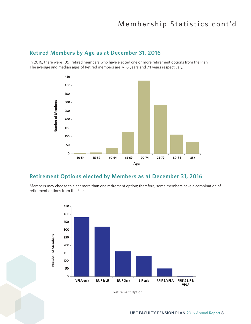### Membership Statistics cont'd

#### **Retired Members by Age as at December 31, 2016**

In 2016, there were 1051 retired members who have elected one or more retirement options from the Plan. The average and median ages of Retired members are 74.6 years and 74 years respectively.



#### **Retirement Options elected by Members as at December 31, 2016**

Members may choose to elect more than one retirement option; therefore, some members have a combination of retirement options from the Plan.



**Retirement Option Retirement Option**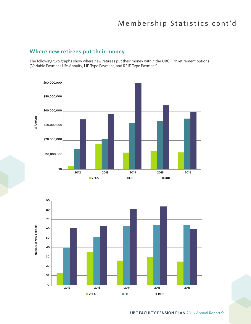### Membership Statistics cont'd

#### **Where new retirees put their money**

The following two graphs show where new retirees put their money within the UBC FPP retirement options (Variable Payment Life Annuity, LIF-Type Payment, and RRIF-Type Payment).



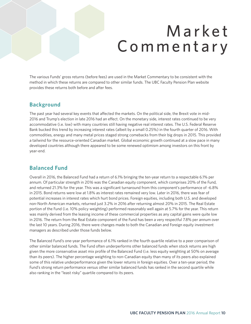### **Market** C o m m e n t a r y

The various Funds' gross returns (before fees) are used in the Market Commentary to be consistent with the method in which these returns are compared to other similar funds. The UBC Faculty Pension Plan website provides these returns both before and after fees.

#### **Background**

The past year had several key events that affected the markets. On the political side, the Brexit vote in mid-2016 and Trump's election in late 2016 had an effect. On the monetary side, interest rates continued to be very accommodative (i.e. low) with many countries still having negative real interest rates. The U.S. Federal Reserve Bank bucked this trend by increasing interest rates (albeit by a small 0.25%) in the fourth quarter of 2016. With commodities, energy and many metal prices staged strong comebacks from their big drops in 2015. This provided a tailwind for the resource-oriented Canadian market. Global economic growth continued at a slow pace in many developed countries although there appeared to be some renewed optimism among investors on this front by year-end.

#### **Balanced Fund**

Overall in 2016, the Balanced Fund had a return of 6.1% bringing the ten-year return to a respectable 6.1% per annum. Of particular strength in 2016 was the Canadian equity component, which comprises 20% of the Fund, and returned 21.3% for the year. This was a significant turnaround from this component's performance of -6.8% in 2015. Bond returns were low at 1.8% as interest rates remained very low. Later in 2016, there was fear of potential increases in interest rates which hurt bond prices. Foreign equities, including both U.S. and developed non-North American markets, returned just 3.2% in 2016 after returning almost 20% in 2015. The Real Estate portion of the Fund (i.e. 10% policy weighting) performed reasonably well again at 5.7% for the year. This return was mainly derived from the leasing income of these commercial properties as any capital gains were quite low in 2016. The return from the Real Estate component of the Fund has been a very respectful 7.8% per annum over the last 10 years. During 2016, there were changes made to both the Canadian and Foreign equity investment managers as described under those funds below.

The Balanced Fund's one-year performance of 6.1% ranked in the fourth quartile relative to a peer comparison of other similar balanced funds. The Fund often underperforms other balanced funds when stock returns are high given the more conservative asset mix profile of the Balanced Fund (i.e. less equity weighting at 50% on average than its peers). The higher percentage weighting to non-Canadian equity than many of its peers also explained some of this relative underperformance given the lower returns in foreign equities. Over a ten-year period, the Fund's strong return performance versus other similar balanced funds has ranked in the second quartile while also ranking in the "least risky" quartile compared to its peers.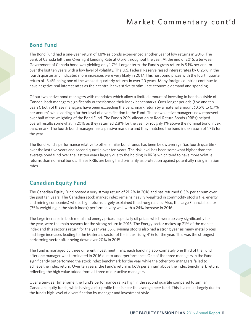### Market Commentary cont'd

#### **Bond Fund**

The Bond Fund had a one-year return of 1.8% as bonds experienced another year of low returns in 2016. The Bank of Canada left their Overnight Lending Rate at 0.5% throughout the year. At the end of 2016, a ten-year Government of Canada bond was yielding only 1.7%. Longer term, the Fund's gross return is 5.1% per annum over the last ten years with a low level of volatility. The U.S. Federal Reserve raised interest rates by 0.25% in the fourth quarter and indicated more increases were very likely in 2017. This hurt bond prices with the fourth quarter return of -3.4% being one of the weakest quarterly returns in over 20 years. Many foreign countries continue to have negative real interest rates as their central banks strive to stimulate economic demand and spending.

Of our two active bond managers with mandates which allow a limited amount of investing in bonds outside of Canada, both managers significantly outperformed their index benchmarks. Over longer periods (five and ten years), both of these managers have been exceeding the benchmark return by a material amount (0.5% to 0.7% per annum) while adding a further level of diversification to the Fund. These two active managers now represent over half of the weighting of the Bond Fund. The Fund's 20% allocation to Real Return Bonds (RRBs) helped overall results somewhat in 2016 as they returned 2.8% for the year, or roughly 1% above the nominal bond index benchmark. The fourth bond manager has a passive mandate and they matched the bond index return of 1.7% for the year.

The Bond Fund's performance relative to other similar bond funds has been below average (i.e. fourth quartile) over the last five years and second quartile over ten years. The risk level has been somewhat higher than the average bond fund over the last ten years largely due to the holding in RRBs which tend to have more volatile returns than nominal bonds. These RRBs are being held primarily as protection against potentially rising inflation rates.

#### **Canadian Equity Fund**

The Canadian Equity Fund posted a very strong return of 21.2% in 2016 and has returned 6.3% per annum over the past ten years. The Canadian stock market index remains heavily weighted in commodity stocks (i.e. energy and mining companies) whose high returns largely explained the strong results. Also, the large Financial sector (35% weighting in the stock index) performed very well with a 24% increase in 2016.

The large increase in both metal and energy prices, especially oil prices which were up very significantly for the year, were the main reasons for the strong return in 2016. The Energy sector makes up 21% of the market index and this sector's return for the year was 35%. Mining stocks also had a strong year as many metal prices had large increases leading to the Materials sector of the index rising 41% for the year. This was the strongest performing sector after being down over 20% in 2015.

The Fund is managed by three different investment firms, each handling approximately one third of the Fund after one manager was terminated in 2016 due to underperformance. One of the three managers in the Fund significantly outperformed the stock index benchmark for the year while the other two managers failed to achieve the index return. Over ten years, the Fund's return is 1.6% per annum above the index benchmark return, reflecting the high value added from all three of our active managers.

Over a ten-year timeframe, the Fund's performance ranks high in the second quartile compared to similar Canadian equity funds, while having a risk profile that is near the average peer fund. This is a result largely due to the fund's high level of diversification by manager and investment style.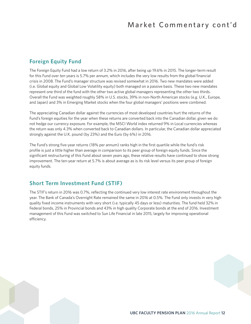#### **Foreign Equity Fund**

The Foreign Equity Fund had a low return of 3.2% in 2016, after being up 19.6% in 2015. The longer-term result for this Fund over ten years is 5.7% per annum, which includes the very low results from the global financial crisis in 2008. The Fund's manager structure was revised somewhat in 2016. Two new mandates were added (i.e. Global equity and Global Low Volatility equity) both managed on a passive basis. These two new mandates represent one third of the fund with the other two active global managers representing the other two thirds. Overall the Fund was weighted roughly 58% in U.S. stocks, 39% in non-North American stocks (e.g. U.K., Europe, and Japan) and 3% in Emerging Market stocks when the four global managers' positions were combined.

The appreciating Canadian dollar against the currencies of most developed countries hurt the returns of the Fund's foreign equities for the year when these returns are converted back into the Canadian dollar, given we do not hedge our currency exposure. For example, the MSCI World index returned 9% in Local currencies whereas the return was only 4.3% when converted back to Canadian dollars. In particular, the Canadian dollar appreciated strongly against the U.K. pound (by 23%) and the Euro (by 6%) in 2016.

The Fund's strong five-year returns (18% per annum) ranks high in the first quartile while the fund's risk profile is just a little higher than average in comparison to its peer group of foreign equity funds. Since the significant restructuring of this Fund about seven years ago, these relative results have continued to show strong improvement. The ten-year return at 5.7% is about average as is its risk level versus its peer group of foreign equity funds.

#### **Short Term Investment Fund (STIF)**

The STIF's return in 2016 was 0.7%, reflecting the continued very low interest rate environment throughout the year. The Bank of Canada's Overnight Rate remained the same in 2016 at 0.5%. The Fund only invests in very high quality fixed income instruments with very short (i.e. typically 45 days or less) maturities. The fund held 32% in Federal bonds, 25% in Provincial bonds and 43% in high quality Corporate bonds at the end of 2016. Investment management of this Fund was switched to Sun Life Financial in late 2015, largely for improving operational efficiency.

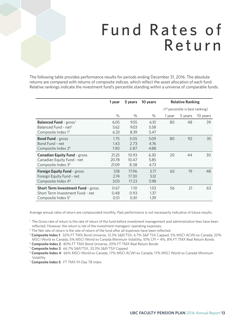### Fund Rates of Return

The following table provides performance results for periods ending December 31, 2016. The absolute returns are compared with returns of composite indices, which reflect the asset allocation of each fund. Relative rankings indicate the investment fund's percentile standing within a universe of comparable funds.

|                                           | 1 year | 5 years | 10 years | <b>Relative Ranking</b>            |         |          |
|-------------------------------------------|--------|---------|----------|------------------------------------|---------|----------|
|                                           |        |         |          | $(1st percentile is best ranking)$ |         |          |
|                                           | $\%$   | $\%$    | $\%$     | 1 year                             | 5 years | 10 years |
| <b>Balanced Fund - gross<sup>1</sup></b>  | 6.05   | 9.55    | 6.10     | 80                                 | 48      | 39       |
| Balanced Fund - net <sup>2</sup>          | 5.62   | 9.03    | 5.58     |                                    |         |          |
| Composite Index $1^3$                     | 6.33   | 8.39    | 5.47     |                                    |         |          |
| <b>Bond Fund</b> - gross                  | 1.75   | 3.05    | 5.09     | 80                                 | 92      | 35       |
| Bond Fund - net                           | 1.43   | 2.73    | 4.76     |                                    |         |          |
| Composite Index 2 <sup>4</sup>            | 1.90   | 2.87    | 4.88     |                                    |         |          |
| <b>Canadian Equity Fund - gross</b>       | 21.25  | 10.93   | 6.30     | 20                                 | 44      | 30       |
| Canadian Equity Fund - net                | 20.78  | 10.47   | 5.85     |                                    |         |          |
| Composite Index 3 <sup>5</sup>            | 21.09  | 8.38    | 4.73     |                                    |         |          |
| Foreign Equity Fund - gross               | 3.18   | 17.96   | 5.71     | 65                                 | 19      | 48       |
| Foreign Equity Fund - net                 | 2.74   | 17.30   | 5.12     |                                    |         |          |
| Composite Index 4 <sup>6</sup>            | 3.03   | 17.23   | 5.98     |                                    |         |          |
| <b>Short Term Investment Fund - gross</b> | 0.67   | 1.10    | 1.53     | 56                                 | 21      | 63       |
| Short Term Investment Fund - net          | 0.48   | 0.93    | 1.37     |                                    |         |          |
| Composite Index 57                        | 0.51   | 0.81    | 1.39     |                                    |         |          |

Average annual rates of return are compounded monthly. Past performance is not necessarily indicative of future results.

<sup>1</sup> The Gross rate of return is the rate of return of the fund before investment management and administration fees have been reflected. However, the return is net of the investment managers' operating expenses.

<sup>2</sup> The Net rate of return is the rate of return of the fund after all expenses have been reflected.

<sup>3</sup>**Composite Index 1**: 32% FT TMX Bond Universe, 13.3% S&P/TSX, 6.7% S&P TSX Capped, 5% MSCI ACWI ex Canada, 20% MSCI World ex Canada, 5% MSCI World ex Canada Minimum Volatility, 10% CPI + 4%, 8% FT TMX Real Return Bonds

<sup>4</sup>**Composite Index 2**: 80% FT TMX Bond Universe, 20% FT TMX Real Return Bonds 5 **Composite Index 3**: 66.7% S&P/TSX, 33.3% S&P/TSX Capped

<sup>6</sup>**Composite Index 4**: 66% MSCI World ex Canada, 17% MSCI ACWI ex Canada, 17% MSCI World ex Canada Minimum Volatility

<sup>7</sup>**Composite Index 5**: FT TMX 91-Day TB Index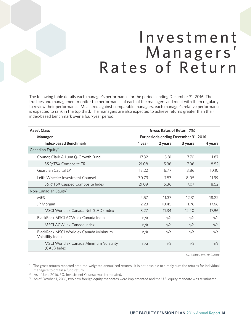### I n v e s t m e n t Managers' Rates of Return

The following table details each manager's performance for the periods ending December 31, 2016. The trustees and management monitor the performance of each of the managers and meet with them regularly to review their performance. Measured against comparable managers, each manager's relative performance is expected to rank in the top third. The managers are also expected to achieve returns greater than their index-based benchmark over a four-year period.

| <b>Asset Class</b>                                         | Gross Rates of Return (%) <sup>1</sup> |         |         |         |
|------------------------------------------------------------|----------------------------------------|---------|---------|---------|
| Manager                                                    | For periods ending December 31, 2016   |         |         |         |
| <b>Index-based Benchmark</b>                               | 1 year                                 | 2 years | 3 years | 4 years |
| Canadian Equity <sup>2</sup>                               |                                        |         |         |         |
| Connor, Clark & Lunn Q-Growth Fund                         | 17.32                                  | 5.81    | 7.70    | 11.87   |
| S&P/TSX Composite TR                                       | 21.08                                  | 5.36    | 7.06    | 8.52    |
| Guardian Capital LP                                        | 18.22                                  | 6.77    | 8.86    | 10.10   |
| Leith Wheeler Investment Counsel                           | 30.73                                  | 7.53    | 8.05    | 11.99   |
| S&P/TSX Capped Composite Index                             | 21.09                                  | 5.36    | 7.07    | 8.52    |
| Non-Canadian Equity <sup>3</sup>                           |                                        |         |         |         |
| <b>MFS</b>                                                 | 4.57                                   | 11.37   | 12.31   | 18.22   |
| JP Morgan                                                  | 2.23                                   | 10.45   | 11.76   | 17.66   |
| MSCI World ex Canada Net (CAD) Index                       | 3.27                                   | 11.34   | 12.40   | 17.96   |
| BlackRock MSCI ACWI ex Canada Index                        | n/a                                    | n/a     | n/a     | n/a     |
| MSCI ACWI ex Canada Index                                  | n/a                                    | n/a     | n/a     | n/a     |
| BlackRock MSCL World ex Canada Minimum<br>Volatility Index | n/a                                    | n/a     | n/a     | n/a     |
| MSCI World ex Canada Minimum Volatility<br>(CAD) Index     | n/a                                    | n/a     | n/a     | n/a     |

*continued on next page*

<sup>1</sup> The gross returns reported are time-weighted annualized returns. It is not possible to simply sum the returns for individual managers to obtain a fund return.

<sup>2</sup> As of June 2016, PCJ Investment Counsel was terminated.

<sup>3</sup> As of October 1, 2016, two new foreign equity mandates were implemented and the U.S. equity mandate was terminated.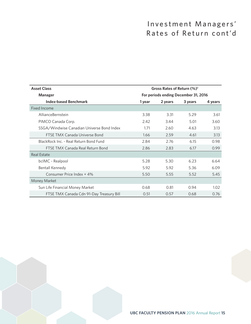### Investment Managers' Rates of Return cont'd

| <b>Asset Class</b>                         | Gross Rates of Return $(\%)^1$       |         |         |         |
|--------------------------------------------|--------------------------------------|---------|---------|---------|
| Manager                                    | For periods ending December 31, 2016 |         |         |         |
| <b>Index-based Benchmark</b>               | 1 year                               | 2 years | 3 years | 4 years |
| Fixed Income                               |                                      |         |         |         |
| AllianceBernstein                          | 3.38                                 | 3.31    | 5.29    | 3.61    |
| PIMCO Canada Corp.                         | 2.42                                 | 3.44    | 5.01    | 3.60    |
| SSGA/Windwise Canadian Universe Bond Index | 1.71                                 | 2.60    | 4.63    | 3.13    |
| FTSE TMX Canada Universe Bond              | 1.66                                 | 2.59    | 4.61    | 3.13    |
| BlackRock Inc. - Real Return Bond Fund     | 2.84                                 | 2.76    | 6.15    | 0.98    |
| FTSE TMX Canada Real Return Bond           | 2.86                                 | 2.83    | 6.17    | 0.99    |
| <b>Real Estate</b>                         |                                      |         |         |         |
| bcIMC - Realpool                           | 5.28                                 | 5.30    | 6.23    | 6.64    |
| <b>Bentall Kennedy</b>                     | 5.92                                 | 5.92    | 5.36    | 6.09    |
| Consumer Price Index + 4%                  | 5.50                                 | 5.55    | 5.52    | 5.45    |
| Money Market                               |                                      |         |         |         |
| Sun Life Financial Money Market            | 0.68                                 | 0.81    | 0.94    | 1.02    |
| FTSE TMX Canada Cdn 91-Day Treasury Bill   | 0.51                                 | 0.57    | 0.68    | 0.76    |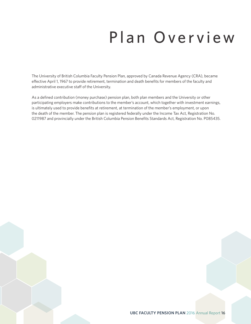# Plan Overview

The University of British Columbia Faculty Pension Plan, approved by Canada Revenue Agency (CRA), became effective April 1, 1967 to provide retirement, termination and death benefits for members of the faculty and administrative executive staff of the University.

As a defined contribution (money purchase) pension plan, both plan members and the University or other participating employers make contributions to the member's account, which together with investment earnings, is ultimately used to provide benefits at retirement, at termination of the member's employment, or upon the death of the member. The pension plan is registered federally under the Income Tax Act, Registration No. 0211987 and provincially under the British Columbia Pension Benefits Standards Act, Registration No. P085435.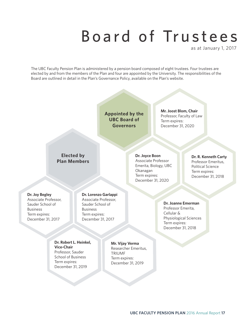# Board of Trustees

as at January 1, 2017

The UBC Faculty Pension Plan is administered by a pension board composed of eight trustees. Four trustees are elected by and from the members of the Plan and four are appointed by the University. The responsibilities of the Board are outlined in detail in the Plan's Governance Policy, available on the Plan's website.

> **Appointed by the UBC Board of Governors**

**Mr. Joost Blom, Chair** Professor, Faculty of Law Term expires: December 31, 2020

#### **Elected by Plan Members**

**Dr. Joyce Boon** Associate Professor Emerita, Biology, UBC Okanagan Term expires: December 31, 2020

**Dr. R. Kenneth Carty** Professor Emeritus, Political Science Term expires: December 31, 2018

#### **Dr. Joy Begley** Associate Professor, Sauder School of Business Term expires:

December 31, 2017

#### **Dr. Lorenzo Garlappi**

Associate Professor, Sauder School of Business Term expires: December 31, 2017

**Dr. Joanne Emerman** Professor Emerita, Cellular & Physiological Sciences Term expires: December 31, 2018

#### **Dr. Robert L. Heinkel, Vice-Chair** Professor, Sauder School of Business Term expires: December 31, 2019

**Mr. Vijay Verma** Researcher Emeritus, **TRIUMF** Term expires: December 31, 2019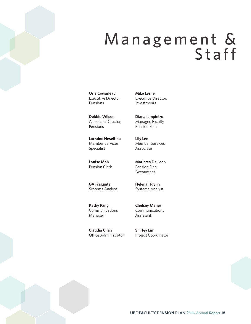### Management & Staff

**Orla Cousineau** Executive Director, Pensions

**Debbie Wilson** Associate Director, Pensions

**Lorraine Heseltine** Member Services Specialist

**Louise Mah** Pension Clerk

**GV Fragante** Systems Analyst

**Kathy Pang** Communications Manager

**Claudia Chan** Office Administrator

**Mike Leslie** Executive Director, Investments

**Diana Iampietro** Manager, Faculty Pension Plan

**Lily Lee** Member Services Associate

**Maricres De Leon** Pension Plan Accountant

**Helena Huynh** Systems Analyst

**Chelsey Maher** Communications Assistant

**Shirley Lim** Project Coordinator